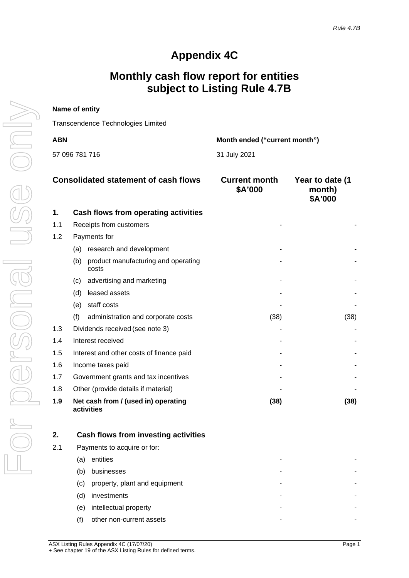## **Appendix 4C**

## **Monthly cash flow report for entities subject to Listing Rule 4.7B**

| Name of entity                       |              |  |
|--------------------------------------|--------------|--|
| Transcendence Technologies Limited   |              |  |
| Month ended ("current month")<br>ABN |              |  |
| 57 096 781 716                       | 31 July 2021 |  |

|     | <b>Consolidated statement of cash flows</b>         | <b>Current month</b><br>\$A'000 | Year to date (1<br>month)<br>\$A'000 |
|-----|-----------------------------------------------------|---------------------------------|--------------------------------------|
| 1.  | Cash flows from operating activities                |                                 |                                      |
| 1.1 | Receipts from customers                             |                                 |                                      |
| 1.2 | Payments for                                        |                                 |                                      |
|     | research and development<br>(a)                     |                                 |                                      |
|     | product manufacturing and operating<br>(b)<br>costs |                                 |                                      |
|     | advertising and marketing<br>(c).                   |                                 |                                      |
|     | leased assets<br>(d)                                |                                 |                                      |
|     | staff costs<br>(e)                                  |                                 |                                      |
|     | (f)<br>administration and corporate costs           | (38)                            | (38)                                 |
| 1.3 | Dividends received (see note 3)                     |                                 |                                      |
| 1.4 | Interest received                                   |                                 |                                      |
| 1.5 | Interest and other costs of finance paid            |                                 |                                      |
| 1.6 | Income taxes paid                                   |                                 |                                      |
| 1.7 | Government grants and tax incentives                |                                 |                                      |
| 1.8 | Other (provide details if material)                 |                                 |                                      |
| 1.9 | Net cash from / (used in) operating<br>activities   | (38)                            | (38)                                 |

|     | Cash flows from investing activities |
|-----|--------------------------------------|
| 2.1 | Payments to acquire or for:          |
|     | entities<br>a                        |
|     | businesses<br>b                      |
|     | property, plant and equipment<br>(C) |
|     | investments<br>d)                    |
|     | intellectual property<br>(e)         |
|     | other non-current assets             |
|     |                                      |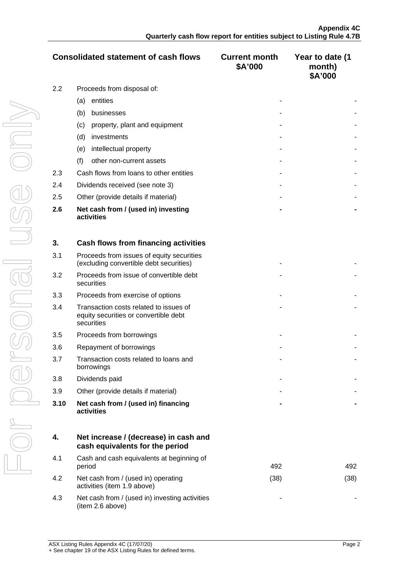|     | <b>Consolidated statement of cash flows</b>       | <b>Current month</b><br>\$A'000 | Year to date (1<br>month)<br>\$A'000 |
|-----|---------------------------------------------------|---------------------------------|--------------------------------------|
| 2.2 | Proceeds from disposal of:                        |                                 |                                      |
|     | entities<br>(a)                                   |                                 |                                      |
|     | businesses<br>(b)                                 |                                 |                                      |
|     | property, plant and equipment<br>(c)              |                                 |                                      |
|     | (d)<br>investments                                |                                 |                                      |
|     | intellectual property<br>(e)                      |                                 |                                      |
|     | (f)<br>other non-current assets                   |                                 |                                      |
| 2.3 | Cash flows from loans to other entities           |                                 |                                      |
| 2.4 | Dividends received (see note 3)                   |                                 |                                      |
| 2.5 | Other (provide details if material)               |                                 |                                      |
| 2.6 | Net cash from / (used in) investing<br>activities |                                 |                                      |

| 3.   | Cash flows from financing activities                                                          |  |
|------|-----------------------------------------------------------------------------------------------|--|
| 3.1  | Proceeds from issues of equity securities<br>(excluding convertible debt securities)          |  |
| 3.2  | Proceeds from issue of convertible debt<br>securities                                         |  |
| 3.3  | Proceeds from exercise of options                                                             |  |
| 3.4  | Transaction costs related to issues of<br>equity securities or convertible debt<br>securities |  |
| 3.5  | Proceeds from borrowings                                                                      |  |
| 3.6  | Repayment of borrowings                                                                       |  |
| 3.7  | Transaction costs related to loans and<br>borrowings                                          |  |
| 3.8  | Dividends paid                                                                                |  |
| 3.9  | Other (provide details if material)                                                           |  |
| 3.10 | Net cash from / (used in) financing<br>activities                                             |  |

|     | Net increase / (decrease) in cash and<br>cash equivalents for the period |      |     |
|-----|--------------------------------------------------------------------------|------|-----|
| 4.1 | Cash and cash equivalents at beginning of<br>period                      | 492  |     |
| 4.2 | Net cash from / (used in) operating<br>activities (item 1.9 above)       | '38' | 38) |
| 4.3 | Net cash from / (used in) investing activities<br>(item 2.6 above)       |      |     |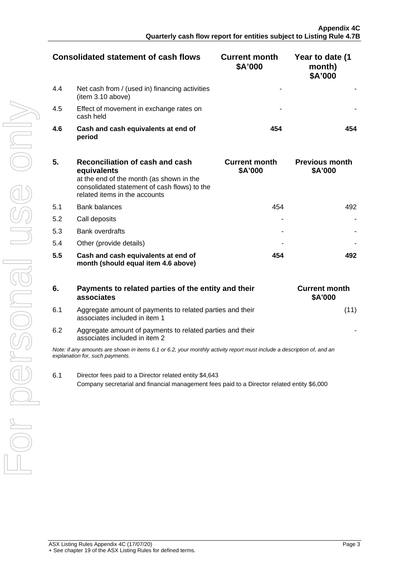|     | Consolidated statement of cash flows                                | <b>Current month</b><br>\$A'000 | Year to date (1<br>month)<br>\$A'000 |
|-----|---------------------------------------------------------------------|---------------------------------|--------------------------------------|
| 4.4 | Net cash from / (used in) financing activities<br>(item 3.10 above) |                                 |                                      |
| 4.5 | Effect of movement in exchange rates on<br>cash held                |                                 |                                      |
| 4.6 | Cash and cash equivalents at end of<br>period                       |                                 |                                      |

| 5.  | Reconciliation of cash and cash<br>equivalents<br>at the end of the month (as shown in the<br>consolidated statement of cash flows) to the<br>related items in the accounts | <b>Current month</b><br>\$A'000 | <b>Previous month</b><br>\$A'000 |
|-----|-----------------------------------------------------------------------------------------------------------------------------------------------------------------------------|---------------------------------|----------------------------------|
| 5.1 | <b>Bank balances</b>                                                                                                                                                        | 454                             | 492                              |
| 5.2 | Call deposits                                                                                                                                                               |                                 |                                  |
| 5.3 | <b>Bank overdrafts</b>                                                                                                                                                      |                                 |                                  |
| 5.4 | Other (provide details)                                                                                                                                                     |                                 |                                  |
| 5.5 | Cash and cash equivalents at end of<br>month (should equal item 4.6 above)                                                                                                  | 454                             |                                  |

| 6.  | Payments to related parties of the entity and their<br>associates                                                                                         | <b>Current month</b><br><b>\$A'000</b> |
|-----|-----------------------------------------------------------------------------------------------------------------------------------------------------------|----------------------------------------|
| 6.1 | Aggregate amount of payments to related parties and their<br>associates included in item 1                                                                |                                        |
| 6.2 | Aggregate amount of payments to related parties and their<br>associates included in item 2                                                                |                                        |
|     | Note: if any amounts are shown in items 6.1 or 6.2, your monthly activity report must include a description of, and an<br>explanation for, such payments. |                                        |
| 6.1 | Director fees paid to a Director related entity \$4,643<br>Company secretarial and financial management fees paid to a Director related entity \$6,000    |                                        |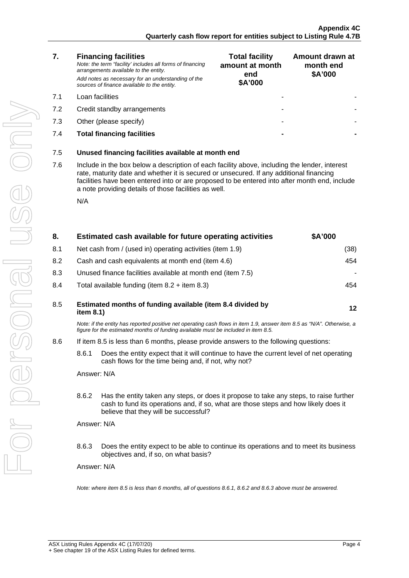|           | <b>Total facility</b><br>amount at month<br>end<br>\$A'000 | Amount drawn at<br>month end<br>\$A'000 |
|-----------|------------------------------------------------------------|-----------------------------------------|
|           |                                                            |                                         |
|           |                                                            |                                         |
|           |                                                            |                                         |
|           |                                                            |                                         |
|           |                                                            |                                         |
| month end |                                                            |                                         |

**7.5** Unused financing facilities available at r

*Note: the term "facility' includes all forms of financing* 

*arrangements available to the entity.*

**7. Financing facilities**

7.6 Include in the box below a description of each facility above, including the lender, interest rate, maturity date and whether it is secured or unsecured. If any additional financing facilities have been entered into or are proposed to be entered into after month end, include a note providing details of those facilities as well.

| 8.  | Estimated cash available for future operating activities                                                                                                                                                     | <b>SA'000</b> |
|-----|--------------------------------------------------------------------------------------------------------------------------------------------------------------------------------------------------------------|---------------|
| 8.1 | Net cash from / (used in) operating activities (item 1.9)                                                                                                                                                    | (38)          |
| 8.2 | Cash and cash equivalents at month end (item 4.6)                                                                                                                                                            | 454           |
| 8.3 | Unused finance facilities available at month end (item 7.5)                                                                                                                                                  |               |
| 8.4 | Total available funding (item $8.2 +$ item $8.3$ )                                                                                                                                                           |               |
| 8.5 | Estimated months of funding available (item 8.4 divided by<br>item $8.1$ )                                                                                                                                   |               |
|     | Note: if the entity has reported positive net operating cash flows in item 1.9, answer item 8.5 as "N/A". Otherwise, a<br>figure for the estimated months of funding available must be included in item 8.5. |               |

- 8.6 If item 8.5 is less than 6 months, please provide answers to the following questions:
	- 8.6.1 Does the entity expect that it will continue to have the current level of net operating cash flows for the time being and, if not, why not?
	- 8.6.2 Has the entity taken any steps, or does it propose to take any steps, to raise further cash to fund its operations and, if so, what are those steps and how likely does it believe that they will be successful?
	- 8.6.3 Does the entity expect to be able to continue its operations and to meet its business objectives and, if so, on what basis?

Answer: N/A

*Note: where item 8.5 is less than 6 months, all of questions 8.6.1, 8.6.2 and 8.6.3 above must be answered.*